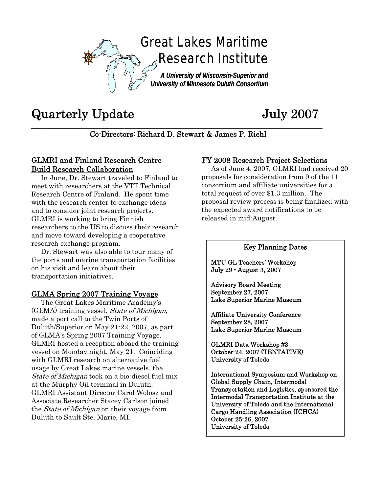

# Quarterly Update July 2007

**\_\_\_\_\_\_\_\_\_\_\_\_\_\_\_\_\_\_\_\_\_\_\_\_\_\_\_\_\_\_\_\_\_\_\_\_\_\_\_\_\_\_\_\_\_\_\_\_\_\_\_\_\_\_\_\_\_\_\_\_\_\_\_\_\_\_\_\_\_\_\_\_\_\_\_\_\_\_**  Co-Directors: Richard D. Stewart & James P. Riehl

### GLMRI and Finland Research Centre Build Research Collaboration

 In June, Dr. Stewart traveled to Finland to meet with researchers at the VTT Technical Research Centre of Finland. He spent time with the research center to exchange ideas and to consider joint research projects. GLMRI is working to bring Finnish researchers to the US to discuss their research and move toward developing a cooperative research exchange program.

 Dr. Stewart was also able to tour many of the ports and marine transportation facilities on his visit and learn about their transportation initiatives.

#### GLMA Spring 2007 Training Voyage

 The Great Lakes Maritime Academy's (GLMA) training vessel, State of Michigan, made a port call to the Twin Ports of Duluth/Superior on May 21-22, 2007, as part of GLMA's Spring 2007 Training Voyage. GLMRI hosted a reception aboard the training vessel on Monday night, May 21. Coinciding with GLMRI research on alternative fuel usage by Great Lakes marine vessels, the State of Michigan took on a bio-diesel fuel mix at the Murphy Oil terminal in Duluth. GLMRI Assistant Director Carol Wolosz and Associate Researcher Stacey Carlson joined the *State of Michigan* on their voyage from Duluth to Sault Ste. Marie, MI.

#### FY 2008 Research Project Selections

 As of June 4, 2007, GLMRI had received 20 proposals for consideration from 9 of the 11 consortium and affiliate universities for a total request of over \$1.3 million. The proposal review process is being finalized with the expected award notifications to be released in mid-August.

#### Key Planning Dates

MTU GL Teachers' Workshop July 29 - August 3, 2007

Advisory Board Meeting September 27, 2007 Lake Superior Marine Museum

Affiliate University Conference September 28, 2007 Lake Superior Marine Museum

GLMRI Data Workshop #3 October 24, 2007 (TENTATIVE) University of Toledo

International Symposium and Workshop on Global Supply Chain, Intermodal Transportation and Logistics, sponsored the Intermodal Transportation Institute at the University of Toledo and the International Cargo Handling Association (ICHCA) October 25-26, 2007 University of Toledo